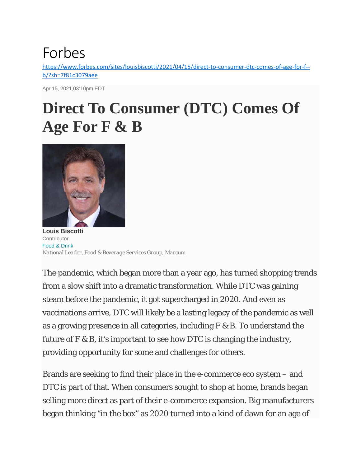## Forbes

https://www.forbes.com/sites/louisbiscotti/2021/04/15/direct-to-consumer-dtc-comes-of-age-for-f-b/?sh=7f81c3079aee

Apr 15, 2021,03:10pm EDT

## **Direct To Consumer (DTC) Comes Of Age For F & B**



**Louis Biscotti Contributor** Food & Drink *National Leader, Food & Beverage Services Group, Marcum* 

The pandemic, which began more than a year ago, has turned shopping trends from a slow shift into a dramatic transformation. While DTC was gaining steam before the pandemic, it got supercharged in 2020. And even as vaccinations arrive, DTC will likely be a lasting legacy of the pandemic as well as a growing presence in all categories, including F & B. To understand the future of F & B, it's important to see how DTC is changing the industry, providing opportunity for some and challenges for others.

Brands are seeking to find their place in the e-commerce eco system – and DTC is part of that. When consumers sought to shop at home, brands began selling more direct as part of their e-commerce expansion. Big manufacturers began thinking "in the box" as 2020 turned into a kind of dawn for an age of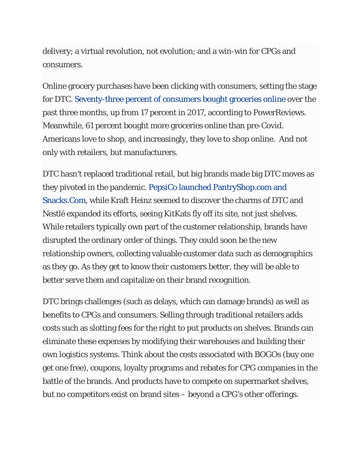delivery; a virtual revolution, not evolution; and a win-win for CPGs and consumers.

Online grocery purchases have been clicking with consumers, setting the stage for DTC. Seventy-three percent of consumers bought groceries online over the past three months, up from 17 percent in 2017, according to PowerReviews. Meanwhile, 61 percent bought more groceries online than pre-Covid. Americans love to shop, and increasingly, they love to shop online. And not only with retailers, but manufacturers.

DTC hasn't replaced traditional retail, but big brands made big DTC moves as they pivoted in the pandemic. PepsiCo launched PantryShop.com and Snacks.Com, while Kraft Heinz seemed to discover the charms of DTC and Nestlé expanded its efforts, seeing KitKats fly off its site, not just shelves. While retailers typically own part of the customer relationship, brands have disrupted the ordinary order of things. They could soon be the new relationship owners, collecting valuable customer data such as demographics as they go. As they get to know their customers better, they will be able to better serve them and capitalize on their brand recognition.

DTC brings challenges (such as delays, which can damage brands) as well as benefits to CPGs and consumers. Selling through traditional retailers adds costs such as slotting fees for the right to put products on shelves. Brands can eliminate these expenses by modifying their warehouses and building their own logistics systems. Think about the costs associated with BOGOs (buy one get one free), coupons, loyalty programs and rebates for CPG companies in the battle of the brands. And products have to compete on supermarket shelves, but no competitors exist on brand sites – beyond a CPG's other offerings.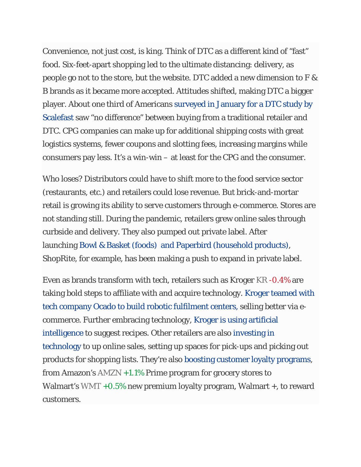Convenience, not just cost, is king. Think of DTC as a different kind of "fast" food. Six-feet-apart shopping led to the ultimate distancing: delivery, as people go not to the store, but the website. DTC added a new dimension to F & B brands as it became more accepted. Attitudes shifted, making DTC a bigger player. About one third of Americans surveyed in January for a DTC study by Scalefast saw "no difference" between buying from a traditional retailer and DTC. CPG companies can make up for additional shipping costs with great logistics systems, fewer coupons and slotting fees, increasing margins while consumers pay less. It's a win-win – at least for the CPG and the consumer.

Who loses? Distributors could have to shift more to the food service sector (restaurants, etc.) and retailers could lose revenue. But brick-and-mortar retail is growing its ability to serve customers through e-commerce. Stores are not standing still. During the pandemic, retailers grew online sales through curbside and delivery. They also pumped out private label. After launching Bowl & Basket (foods) and Paperbird (household products), ShopRite, for example, has been making a push to expand in private label.

Even as brands transform with tech, retailers such as Kroger KR -0.4% are taking bold steps to affiliate with and acquire technology. Kroger teamed with tech company Ocado to build robotic fulfilment centers, selling better via ecommerce. Further embracing technology, Kroger is using artificial intelligence to suggest recipes. Other retailers are also investing in technology to up online sales, setting up spaces for pick-ups and picking out products for shopping lists. They're also boosting customer loyalty programs, from Amazon's AMZN +1.1% Prime program for grocery stores to Walmart's WMT +0.5% new premium loyalty program, Walmart +, to reward customers.